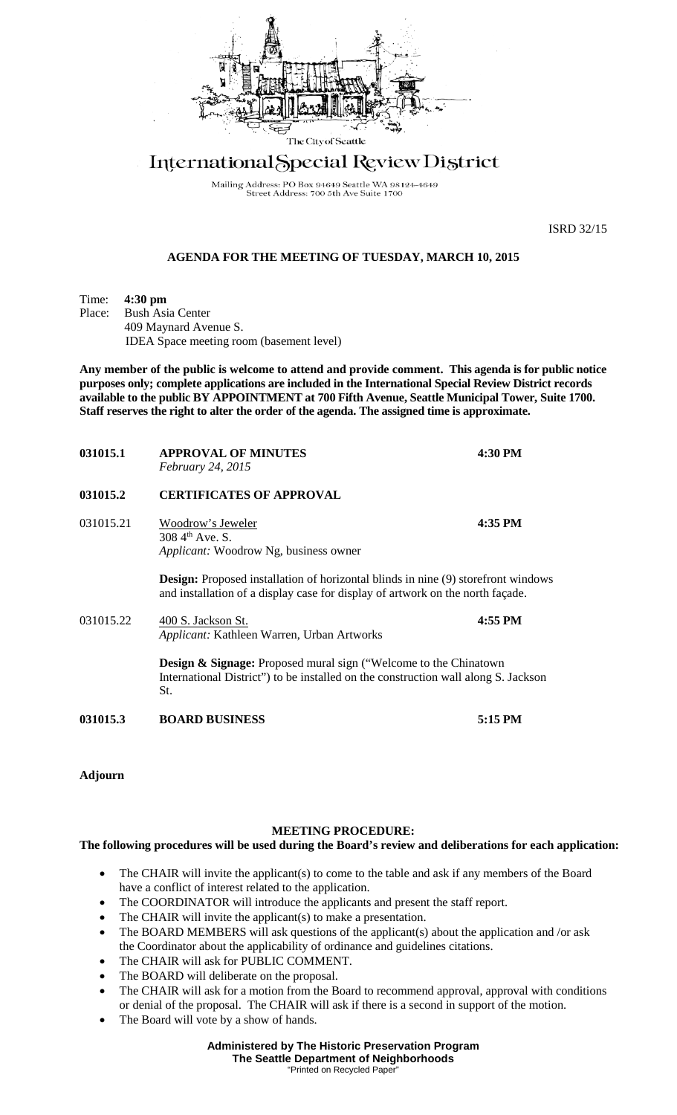

## International Special Review District

Mailing Address: PO Box 94649 Seattle WA 98124-4649<br>Street Address: 700 5th Ave Suite 1700

ISRD 32/15

## **AGENDA FOR THE MEETING OF TUESDAY, MARCH 10, 2015**

Time: **4:30 pm Bush Asia Center** 409 Maynard Avenue S. IDEA Space meeting room (basement level)

**Any member of the public is welcome to attend and provide comment. This agenda is for public notice purposes only; complete applications are included in the International Special Review District records available to the public BY APPOINTMENT at 700 Fifth Avenue, Seattle Municipal Tower, Suite 1700. Staff reserves the right to alter the order of the agenda. The assigned time is approximate.** 

| 031015.1  | <b>APPROVAL OF MINUTES</b><br>February 24, 2015                                                                                                                            | 4:30 PM |
|-----------|----------------------------------------------------------------------------------------------------------------------------------------------------------------------------|---------|
| 031015.2  | <b>CERTIFICATES OF APPROVAL</b>                                                                                                                                            |         |
| 031015.21 | Woodrow's Jeweler<br>308.4 <sup>th</sup> Ave. S.<br><i>Applicant:</i> Woodrow Ng, business owner                                                                           | 4:35 PM |
|           | <b>Design:</b> Proposed installation of horizontal blinds in nine (9) storefront windows<br>and installation of a display case for display of artwork on the north façade. |         |
| 031015.22 | 400 S. Jackson St.<br>Applicant: Kathleen Warren, Urban Artworks                                                                                                           | 4:55 PM |
|           | <b>Design &amp; Signage:</b> Proposed mural sign ("Welcome to the Chinatown"<br>International District" to be installed on the construction wall along S. Jackson<br>St.   |         |
| 031015.3  | <b>BOARD BUSINESS</b>                                                                                                                                                      | 5:15 PM |

**Adjourn**

## **MEETING PROCEDURE:**

## **The following procedures will be used during the Board's review and deliberations for each application:**

- The CHAIR will invite the applicant(s) to come to the table and ask if any members of the Board have a conflict of interest related to the application.
- The COORDINATOR will introduce the applicants and present the staff report.
- The CHAIR will invite the applicant(s) to make a presentation.
- The BOARD MEMBERS will ask questions of the applicant(s) about the application and /or ask the Coordinator about the applicability of ordinance and guidelines citations.
- The CHAIR will ask for PUBLIC COMMENT.
- The BOARD will deliberate on the proposal.
- The CHAIR will ask for a motion from the Board to recommend approval, approval with conditions or denial of the proposal. The CHAIR will ask if there is a second in support of the motion.
- The Board will vote by a show of hands.

**Administered by The Historic Preservation Program The Seattle Department of Neighborhoods** "Printed on Recycled Pape